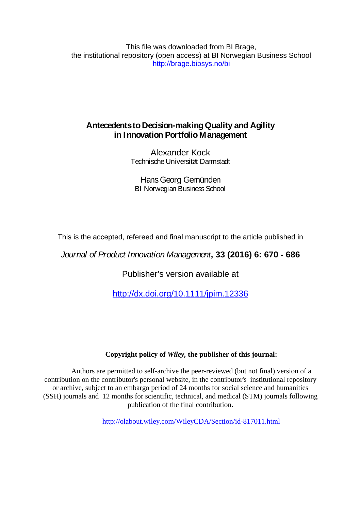This file was downloaded from BI Brage, the institutional repository (open access) at BI Norwegian Business School http://brage.bibsys.no/bi

# **Antecedents to Decision-making Quality and Agility in Innovation Portfolio Management**

Alexander Kock Technische Universität Darmstadt

Hans Georg Gemünden BI Norwegian Business School

This is the accepted, refereed and final manuscript to the article published in

# *Journal of Product Innovation Management***, 33 (2016) 6: 670 - 686**

Publisher's version available at

<http://dx.doi.org/10.1111/jpim.12336>

## **Copyright policy of** *Wiley,* **the publisher of this journal:**

Authors are permitted to self-archive the peer-reviewed (but not final) version of a contribution on the contributor's personal website, in the contributor's institutional repository or archive, subject to an embargo period of 24 months for social science and humanities (SSH) journals and 12 months for scientific, technical, and medical (STM) journals following publication of the final contribution.

<http://olabout.wiley.com/WileyCDA/Section/id-817011.html>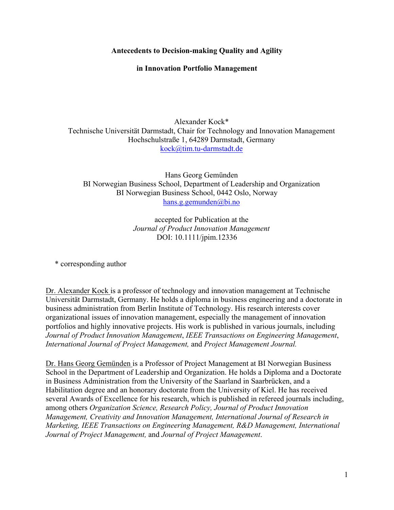**Antecedents to Decision-making Quality and Agility**

**in Innovation Portfolio Management** 

Alexander Kock\* Technische Universität Darmstadt, Chair for Technology and Innovation Management Hochschulstraße 1, 64289 Darmstadt, Germany kock@tim.tu-darmstadt.de

Hans Georg Gemünden BI Norwegian Business School, Department of Leadership and Organization BI Norwegian Business School, 0442 Oslo, Norway hans.g.gemunden@bi.no

> accepted for Publication at the *Journal of Product Innovation Management* DOI: 10.1111/jpim.12336

\* corresponding author

Dr. Alexander Kock is a professor of technology and innovation management at Technische Universität Darmstadt, Germany. He holds a diploma in business engineering and a doctorate in business administration from Berlin Institute of Technology. His research interests cover organizational issues of innovation management, especially the management of innovation portfolios and highly innovative projects. His work is published in various journals, including *Journal of Product Innovation Management*, *IEEE Transactions on Engineering Management*, *International Journal of Project Management,* and *Project Management Journal.*

Dr. Hans Georg Gemünden is a Professor of Project Management at BI Norwegian Business School in the Department of Leadership and Organization. He holds a Diploma and a Doctorate in Business Administration from the University of the Saarland in Saarbrücken, and a Habilitation degree and an honorary doctorate from the University of Kiel. He has received several Awards of Excellence for his research, which is published in refereed journals including, among others *Organization Science, Research Policy, Journal of Product Innovation Management, Creativity and Innovation Management, International Journal of Research in Marketing, IEEE Transactions on Engineering Management, R&D Management, International Journal of Project Management,* and *Journal of Project Management*.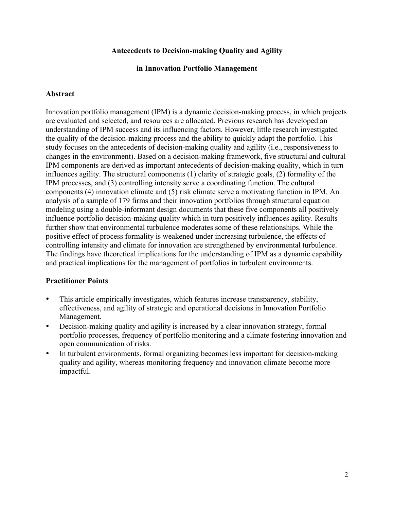#### **Antecedents to Decision-making Quality and Agility**

#### **in Innovation Portfolio Management**

#### **Abstract**

Innovation portfolio management (IPM) is a dynamic decision-making process, in which projects are evaluated and selected, and resources are allocated. Previous research has developed an understanding of IPM success and its influencing factors. However, little research investigated the quality of the decision-making process and the ability to quickly adapt the portfolio. This study focuses on the antecedents of decision-making quality and agility (i.e., responsiveness to changes in the environment). Based on a decision-making framework, five structural and cultural IPM components are derived as important antecedents of decision-making quality, which in turn influences agility. The structural components (1) clarity of strategic goals, (2) formality of the IPM processes, and (3) controlling intensity serve a coordinating function. The cultural components (4) innovation climate and (5) risk climate serve a motivating function in IPM. An analysis of a sample of 179 firms and their innovation portfolios through structural equation modeling using a double-informant design documents that these five components all positively influence portfolio decision-making quality which in turn positively influences agility. Results further show that environmental turbulence moderates some of these relationships. While the positive effect of process formality is weakened under increasing turbulence, the effects of controlling intensity and climate for innovation are strengthened by environmental turbulence. The findings have theoretical implications for the understanding of IPM as a dynamic capability and practical implications for the management of portfolios in turbulent environments.

#### **Practitioner Points**

- This article empirically investigates, which features increase transparency, stability, effectiveness, and agility of strategic and operational decisions in Innovation Portfolio Management.
- Decision-making quality and agility is increased by a clear innovation strategy, formal portfolio processes, frequency of portfolio monitoring and a climate fostering innovation and open communication of risks.
- In turbulent environments, formal organizing becomes less important for decision-making quality and agility, whereas monitoring frequency and innovation climate become more impactful.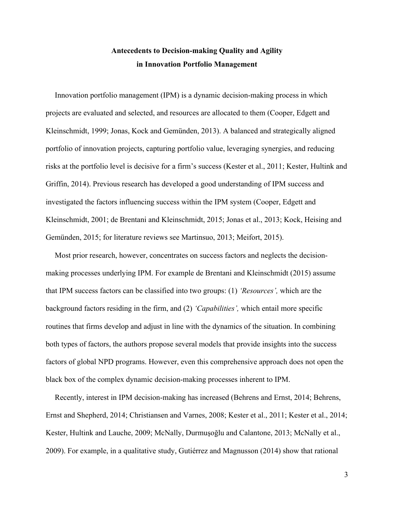# **Antecedents to Decision-making Quality and Agility in Innovation Portfolio Management**

Innovation portfolio management (IPM) is a dynamic decision-making process in which projects are evaluated and selected, and resources are allocated to them (Cooper, Edgett and Kleinschmidt, 1999; Jonas, Kock and Gemünden, 2013). A balanced and strategically aligned portfolio of innovation projects, capturing portfolio value, leveraging synergies, and reducing risks at the portfolio level is decisive for a firm's success (Kester et al., 2011; Kester, Hultink and Griffin, 2014). Previous research has developed a good understanding of IPM success and investigated the factors influencing success within the IPM system (Cooper, Edgett and Kleinschmidt, 2001; de Brentani and Kleinschmidt, 2015; Jonas et al., 2013; Kock, Heising and Gemünden, 2015; for literature reviews see Martinsuo, 2013; Meifort, 2015).

Most prior research, however, concentrates on success factors and neglects the decisionmaking processes underlying IPM. For example de Brentani and Kleinschmidt (2015) assume that IPM success factors can be classified into two groups: (1) *'Resources',* which are the background factors residing in the firm, and (2) *'Capabilities',* which entail more specific routines that firms develop and adjust in line with the dynamics of the situation. In combining both types of factors, the authors propose several models that provide insights into the success factors of global NPD programs. However, even this comprehensive approach does not open the black box of the complex dynamic decision-making processes inherent to IPM.

Recently, interest in IPM decision-making has increased (Behrens and Ernst, 2014; Behrens, Ernst and Shepherd, 2014; Christiansen and Varnes, 2008; Kester et al., 2011; Kester et al., 2014; Kester, Hultink and Lauche, 2009; McNally, Durmuşoğlu and Calantone, 2013; McNally et al., 2009). For example, in a qualitative study, Gutiérrez and Magnusson (2014) show that rational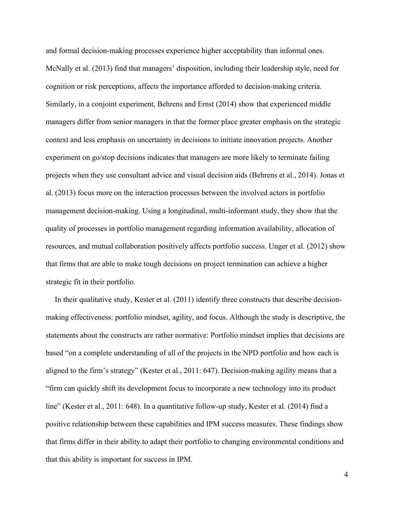and formal decision-making processes experience higher acceptability than informal ones. McNally et al. (2013) find that managers' disposition, including their leadership style, need for cognition or risk perceptions, affects the importance afforded to decision-making criteria. Similarly, in a conjoint experiment, Behrens and Ernst (2014) show that experienced middle managers differ from senior managers in that the former place greater emphasis on the strategic context and less emphasis on uncertainty in decisions to initiate innovation projects. Another experiment on go/stop decisions indicates that managers are more likely to terminate failing projects when they use consultant advice and visual decision aids (Behrens et al., 2014). Jonas et al. (2013) focus more on the interaction processes between the involved actors in portfolio management decision-making. Using a longitudinal, multi-informant study, they show that the quality of processes in portfolio management regarding information availability, allocation of resources, and mutual collaboration positively affects portfolio success. Unger et al. (2012) show that firms that are able to make tough decisions on project termination can achieve a higher strategic fit in their portfolio.

In their qualitative study, Kester et al. (2011) identify three constructs that describe decisionmaking effectiveness: portfolio mindset, agility, and focus. Although the study is descriptive, the statements about the constructs are rather normative: Portfolio mindset implies that decisions are based "on a complete understanding of all of the projects in the NPD portfolio and how each is aligned to the firm's strategy" (Kester et al., 2011: 647). Decision-making agility means that a "firm can quickly shift its development focus to incorporate a new technology into its product line" (Kester et al., 2011: 648). In a quantitative follow-up study, Kester et al. (2014) find a positive relationship between these capabilities and IPM success measures. These findings show that firms differ in their ability to adapt their portfolio to changing environmental conditions and that this ability is important for success in IPM.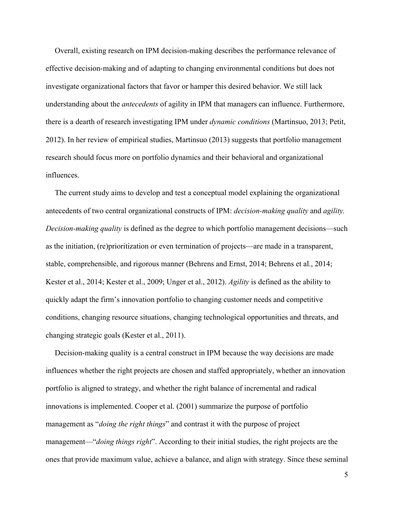Overall, existing research on IPM decision-making describes the performance relevance of effective decision-making and of adapting to changing environmental conditions but does not investigate organizational factors that favor or hamper this desired behavior. We still lack understanding about the *antecedents* of agility in IPM that managers can influence. Furthermore, there is a dearth of research investigating IPM under *dynamic conditions* (Martinsuo, 2013; Petit, 2012). In her review of empirical studies, Martinsuo (2013) suggests that portfolio management research should focus more on portfolio dynamics and their behavioral and organizational influences.

The current study aims to develop and test a conceptual model explaining the organizational antecedents of two central organizational constructs of IPM: *decision-making quality* and *agility. Decision-making quality* is defined as the degree to which portfolio management decisions—such as the initiation, (re)prioritization or even termination of projects—are made in a transparent, stable, comprehensible, and rigorous manner (Behrens and Ernst, 2014; Behrens et al., 2014; Kester et al., 2014; Kester et al., 2009; Unger et al., 2012). *Agility* is defined as the ability to quickly adapt the firm's innovation portfolio to changing customer needs and competitive conditions, changing resource situations, changing technological opportunities and threats, and changing strategic goals (Kester et al., 2011).

Decision-making quality is a central construct in IPM because the way decisions are made influences whether the right projects are chosen and staffed appropriately, whether an innovation portfolio is aligned to strategy, and whether the right balance of incremental and radical innovations is implemented. Cooper et al. (2001) summarize the purpose of portfolio management as "*doing the right things*" and contrast it with the purpose of project management—"*doing things right*". According to their initial studies, the right projects are the ones that provide maximum value, achieve a balance, and align with strategy. Since these seminal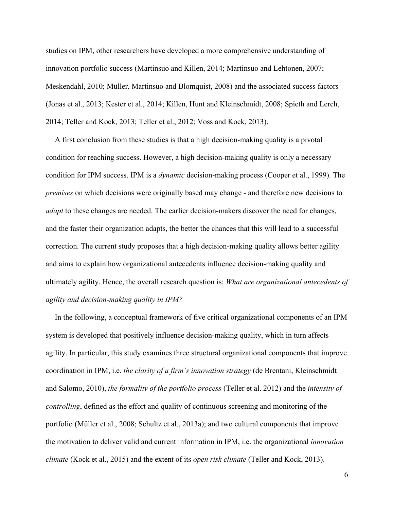studies on IPM, other researchers have developed a more comprehensive understanding of innovation portfolio success (Martinsuo and Killen, 2014; Martinsuo and Lehtonen, 2007; Meskendahl, 2010; Müller, Martinsuo and Blomquist, 2008) and the associated success factors (Jonas et al., 2013; Kester et al., 2014; Killen, Hunt and Kleinschmidt, 2008; Spieth and Lerch, 2014; Teller and Kock, 2013; Teller et al., 2012; Voss and Kock, 2013).

A first conclusion from these studies is that a high decision-making quality is a pivotal condition for reaching success. However, a high decision-making quality is only a necessary condition for IPM success. IPM is a *dynamic* decision-making process (Cooper et al., 1999). The *premises* on which decisions were originally based may change - and therefore new decisions to *adapt* to these changes are needed. The earlier decision-makers discover the need for changes, and the faster their organization adapts, the better the chances that this will lead to a successful correction. The current study proposes that a high decision-making quality allows better agility and aims to explain how organizational antecedents influence decision-making quality and ultimately agility. Hence, the overall research question is: *What are organizational antecedents of agility and decision-making quality in IPM?*

In the following, a conceptual framework of five critical organizational components of an IPM system is developed that positively influence decision-making quality, which in turn affects agility. In particular, this study examines three structural organizational components that improve coordination in IPM, i.e. *the clarity of a firm's innovation strategy* (de Brentani, Kleinschmidt and Salomo, 2010), *the formality of the portfolio process* (Teller et al. 2012) and the *intensity of controlling*, defined as the effort and quality of continuous screening and monitoring of the portfolio (Müller et al., 2008; Schultz et al., 2013a); and two cultural components that improve the motivation to deliver valid and current information in IPM, i.e. the organizational *innovation climate* (Kock et al., 2015) and the extent of its *open risk climate* (Teller and Kock, 2013).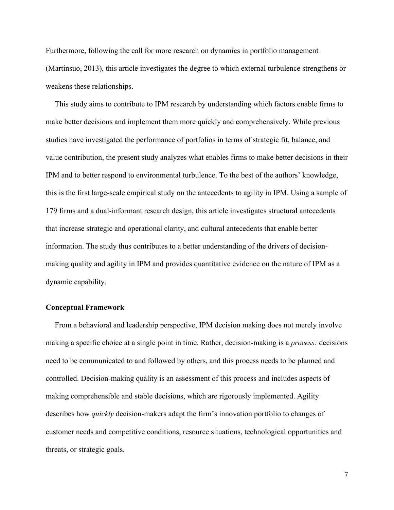Furthermore, following the call for more research on dynamics in portfolio management (Martinsuo, 2013), this article investigates the degree to which external turbulence strengthens or weakens these relationships.

This study aims to contribute to IPM research by understanding which factors enable firms to make better decisions and implement them more quickly and comprehensively. While previous studies have investigated the performance of portfolios in terms of strategic fit, balance, and value contribution, the present study analyzes what enables firms to make better decisions in their IPM and to better respond to environmental turbulence. To the best of the authors' knowledge, this is the first large-scale empirical study on the antecedents to agility in IPM. Using a sample of 179 firms and a dual-informant research design, this article investigates structural antecedents that increase strategic and operational clarity, and cultural antecedents that enable better information. The study thus contributes to a better understanding of the drivers of decisionmaking quality and agility in IPM and provides quantitative evidence on the nature of IPM as a dynamic capability.

#### **Conceptual Framework**

From a behavioral and leadership perspective, IPM decision making does not merely involve making a specific choice at a single point in time. Rather, decision-making is a *process:* decisions need to be communicated to and followed by others, and this process needs to be planned and controlled. Decision-making quality is an assessment of this process and includes aspects of making comprehensible and stable decisions, which are rigorously implemented. Agility describes how *quickly* decision-makers adapt the firm's innovation portfolio to changes of customer needs and competitive conditions, resource situations, technological opportunities and threats, or strategic goals.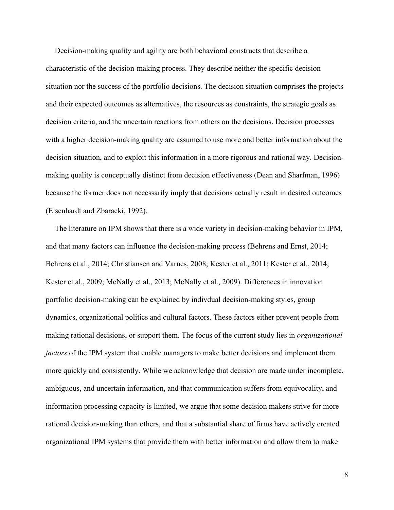Decision-making quality and agility are both behavioral constructs that describe a characteristic of the decision-making process. They describe neither the specific decision situation nor the success of the portfolio decisions. The decision situation comprises the projects and their expected outcomes as alternatives, the resources as constraints, the strategic goals as decision criteria, and the uncertain reactions from others on the decisions. Decision processes with a higher decision-making quality are assumed to use more and better information about the decision situation, and to exploit this information in a more rigorous and rational way. Decisionmaking quality is conceptually distinct from decision effectiveness (Dean and Sharfman, 1996) because the former does not necessarily imply that decisions actually result in desired outcomes (Eisenhardt and Zbaracki, 1992).

The literature on IPM shows that there is a wide variety in decision-making behavior in IPM, and that many factors can influence the decision-making process (Behrens and Ernst, 2014; Behrens et al., 2014; Christiansen and Varnes, 2008; Kester et al., 2011; Kester et al., 2014; Kester et al., 2009; McNally et al., 2013; McNally et al., 2009). Differences in innovation portfolio decision-making can be explained by indivdual decision-making styles, group dynamics, organizational politics and cultural factors. These factors either prevent people from making rational decisions, or support them. The focus of the current study lies in *organizational factors* of the IPM system that enable managers to make better decisions and implement them more quickly and consistently. While we acknowledge that decision are made under incomplete, ambiguous, and uncertain information, and that communication suffers from equivocality, and information processing capacity is limited, we argue that some decision makers strive for more rational decision-making than others, and that a substantial share of firms have actively created organizational IPM systems that provide them with better information and allow them to make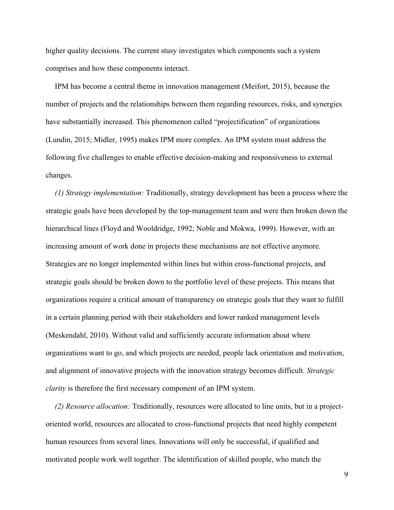higher quality decisions. The current stusy investigates which components such a system comprises and how these components interact.

IPM has become a central theme in innovation management (Meifort, 2015), because the number of projects and the relationships between them regarding resources, risks, and synergies have substantially increased. This phenomenon called "projectification" of organizations (Lundin, 2015; Midler, 1995) makes IPM more complex. An IPM system must address the following five challenges to enable effective decision-making and responsiveness to external changes.

*(1) Strategy implementation:* Traditionally, strategy development has been a process where the strategic goals have been developed by the top-management team and were then broken down the hierarchical lines (Floyd and Wooldridge, 1992; Noble and Mokwa, 1999). However, with an increasing amount of work done in projects these mechanisms are not effective anymore. Strategies are no longer implemented within lines but within cross-functional projects, and strategic goals should be broken down to the portfolio level of these projects. This means that organizations require a critical amount of transparency on strategic goals that they want to fulfill in a certain planning period with their stakeholders and lower ranked management levels (Meskendahl, 2010). Without valid and sufficiently accurate information about where organizations want to go, and which projects are needed, people lack orientation and motivation, and alignment of innovative projects with the innovation strategy becomes difficult. *Strategic clarity* is therefore the first necessary component of an IPM system.

*(2) Resource allocation:* Traditionally, resources were allocated to line units, but in a projectoriented world, resources are allocated to cross-functional projects that need highly competent human resources from several lines. Innovations will only be successful, if qualified and motivated people work well together. The identification of skilled people, who match the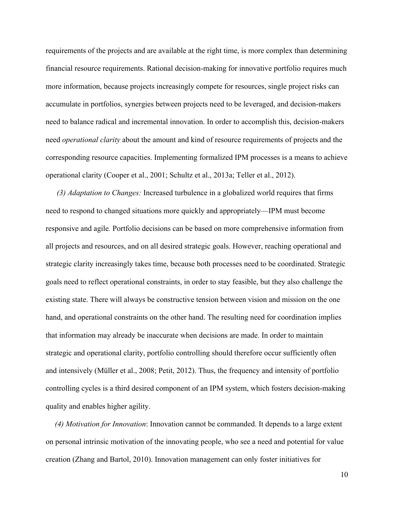requirements of the projects and are available at the right time, is more complex than determining financial resource requirements. Rational decision-making for innovative portfolio requires much more information, because projects increasingly compete for resources, single project risks can accumulate in portfolios, synergies between projects need to be leveraged, and decision-makers need to balance radical and incremental innovation. In order to accomplish this, decision-makers need *operational clarity* about the amount and kind of resource requirements of projects and the corresponding resource capacities. Implementing formalized IPM processes is a means to achieve operational clarity (Cooper et al., 2001; Schultz et al., 2013a; Teller et al., 2012).

*(3) Adaptation to Changes:* Increased turbulence in a globalized world requires that firms need to respond to changed situations more quickly and appropriately—IPM must become responsive and agile*.* Portfolio decisions can be based on more comprehensive information from all projects and resources, and on all desired strategic goals. However, reaching operational and strategic clarity increasingly takes time, because both processes need to be coordinated. Strategic goals need to reflect operational constraints, in order to stay feasible, but they also challenge the existing state. There will always be constructive tension between vision and mission on the one hand, and operational constraints on the other hand. The resulting need for coordination implies that information may already be inaccurate when decisions are made. In order to maintain strategic and operational clarity, portfolio controlling should therefore occur sufficiently often and intensively (Müller et al., 2008; Petit, 2012). Thus, the frequency and intensity of portfolio controlling cycles is a third desired component of an IPM system, which fosters decision-making quality and enables higher agility.

*(4) Motivation for Innovation*: Innovation cannot be commanded. It depends to a large extent on personal intrinsic motivation of the innovating people, who see a need and potential for value creation (Zhang and Bartol, 2010). Innovation management can only foster initiatives for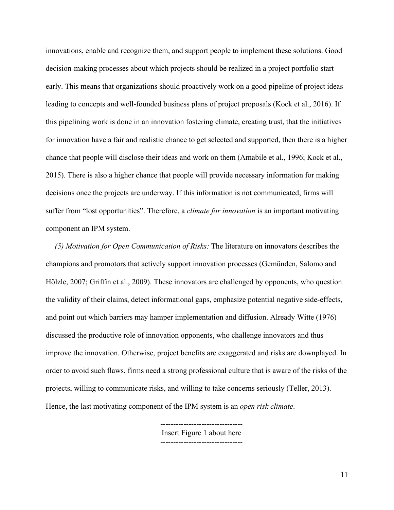innovations, enable and recognize them, and support people to implement these solutions. Good decision-making processes about which projects should be realized in a project portfolio start early. This means that organizations should proactively work on a good pipeline of project ideas leading to concepts and well-founded business plans of project proposals (Kock et al., 2016). If this pipelining work is done in an innovation fostering climate, creating trust, that the initiatives for innovation have a fair and realistic chance to get selected and supported, then there is a higher chance that people will disclose their ideas and work on them (Amabile et al., 1996; Kock et al., 2015). There is also a higher chance that people will provide necessary information for making decisions once the projects are underway. If this information is not communicated, firms will suffer from "lost opportunities". Therefore, a *climate for innovation* is an important motivating component an IPM system.

*(5) Motivation for Open Communication of Risks:* The literature on innovators describes the champions and promotors that actively support innovation processes (Gemünden, Salomo and Hölzle, 2007; Griffin et al., 2009). These innovators are challenged by opponents, who question the validity of their claims, detect informational gaps, emphasize potential negative side-effects, and point out which barriers may hamper implementation and diffusion. Already Witte (1976) discussed the productive role of innovation opponents, who challenge innovators and thus improve the innovation. Otherwise, project benefits are exaggerated and risks are downplayed. In order to avoid such flaws, firms need a strong professional culture that is aware of the risks of the projects, willing to communicate risks, and willing to take concerns seriously (Teller, 2013). Hence, the last motivating component of the IPM system is an *open risk climate*.

> -------------------------------- Insert Figure 1 about here --------------------------------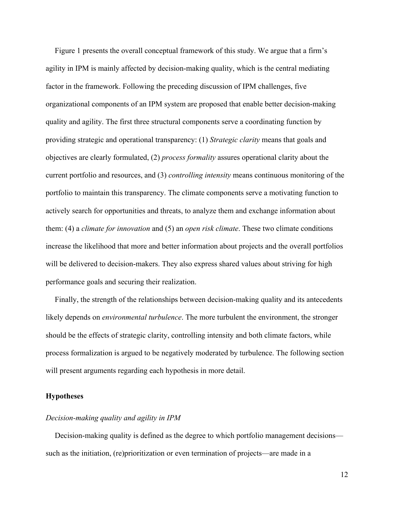Figure 1 presents the overall conceptual framework of this study. We argue that a firm's agility in IPM is mainly affected by decision-making quality, which is the central mediating factor in the framework. Following the preceding discussion of IPM challenges, five organizational components of an IPM system are proposed that enable better decision-making quality and agility. The first three structural components serve a coordinating function by providing strategic and operational transparency: (1) *Strategic clarity* means that goals and objectives are clearly formulated, (2) *process formality* assures operational clarity about the current portfolio and resources, and (3) *controlling intensity* means continuous monitoring of the portfolio to maintain this transparency. The climate components serve a motivating function to actively search for opportunities and threats, to analyze them and exchange information about them: (4) a *climate for innovation* and (5) an *open risk climate*. These two climate conditions increase the likelihood that more and better information about projects and the overall portfolios will be delivered to decision-makers. They also express shared values about striving for high performance goals and securing their realization.

Finally, the strength of the relationships between decision-making quality and its antecedents likely depends on *environmental turbulence*. The more turbulent the environment, the stronger should be the effects of strategic clarity, controlling intensity and both climate factors, while process formalization is argued to be negatively moderated by turbulence. The following section will present arguments regarding each hypothesis in more detail.

#### **Hypotheses**

#### *Decision-making quality and agility in IPM*

Decision-making quality is defined as the degree to which portfolio management decisions such as the initiation, (re)prioritization or even termination of projects—are made in a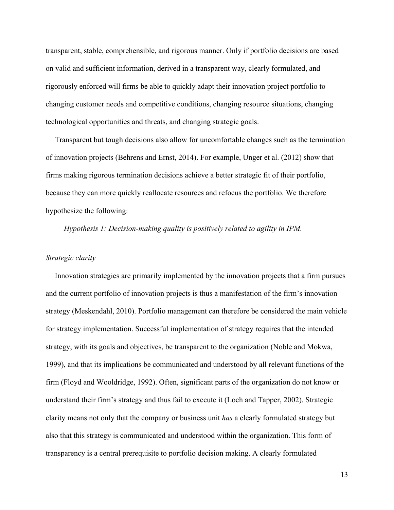transparent, stable, comprehensible, and rigorous manner. Only if portfolio decisions are based on valid and sufficient information, derived in a transparent way, clearly formulated, and rigorously enforced will firms be able to quickly adapt their innovation project portfolio to changing customer needs and competitive conditions, changing resource situations, changing technological opportunities and threats, and changing strategic goals.

Transparent but tough decisions also allow for uncomfortable changes such as the termination of innovation projects (Behrens and Ernst, 2014). For example, Unger et al. (2012) show that firms making rigorous termination decisions achieve a better strategic fit of their portfolio, because they can more quickly reallocate resources and refocus the portfolio. We therefore hypothesize the following:

*Hypothesis 1: Decision-making quality is positively related to agility in IPM.* 

#### *Strategic clarity*

Innovation strategies are primarily implemented by the innovation projects that a firm pursues and the current portfolio of innovation projects is thus a manifestation of the firm's innovation strategy (Meskendahl, 2010). Portfolio management can therefore be considered the main vehicle for strategy implementation. Successful implementation of strategy requires that the intended strategy, with its goals and objectives, be transparent to the organization (Noble and Mokwa, 1999), and that its implications be communicated and understood by all relevant functions of the firm (Floyd and Wooldridge, 1992). Often, significant parts of the organization do not know or understand their firm's strategy and thus fail to execute it (Loch and Tapper, 2002). Strategic clarity means not only that the company or business unit *has* a clearly formulated strategy but also that this strategy is communicated and understood within the organization. This form of transparency is a central prerequisite to portfolio decision making. A clearly formulated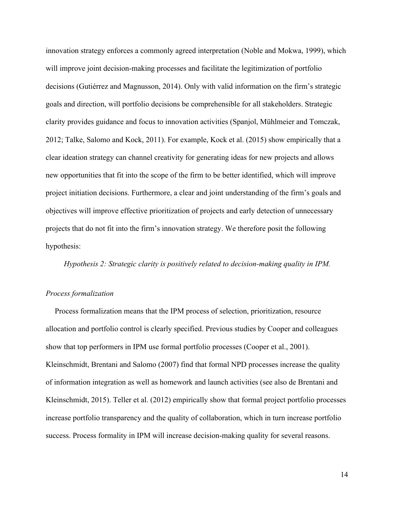innovation strategy enforces a commonly agreed interpretation (Noble and Mokwa, 1999), which will improve joint decision-making processes and facilitate the legitimization of portfolio decisions (Gutiérrez and Magnusson, 2014). Only with valid information on the firm's strategic goals and direction, will portfolio decisions be comprehensible for all stakeholders. Strategic clarity provides guidance and focus to innovation activities (Spanjol, Mühlmeier and Tomczak, 2012; Talke, Salomo and Kock, 2011). For example, Kock et al. (2015) show empirically that a clear ideation strategy can channel creativity for generating ideas for new projects and allows new opportunities that fit into the scope of the firm to be better identified, which will improve project initiation decisions. Furthermore, a clear and joint understanding of the firm's goals and objectives will improve effective prioritization of projects and early detection of unnecessary projects that do not fit into the firm's innovation strategy. We therefore posit the following hypothesis:

*Hypothesis 2: Strategic clarity is positively related to decision-making quality in IPM.*

#### *Process formalization*

Process formalization means that the IPM process of selection, prioritization, resource allocation and portfolio control is clearly specified. Previous studies by Cooper and colleagues show that top performers in IPM use formal portfolio processes (Cooper et al., 2001). Kleinschmidt, Brentani and Salomo (2007) find that formal NPD processes increase the quality of information integration as well as homework and launch activities (see also de Brentani and Kleinschmidt, 2015). Teller et al. (2012) empirically show that formal project portfolio processes increase portfolio transparency and the quality of collaboration, which in turn increase portfolio success. Process formality in IPM will increase decision-making quality for several reasons.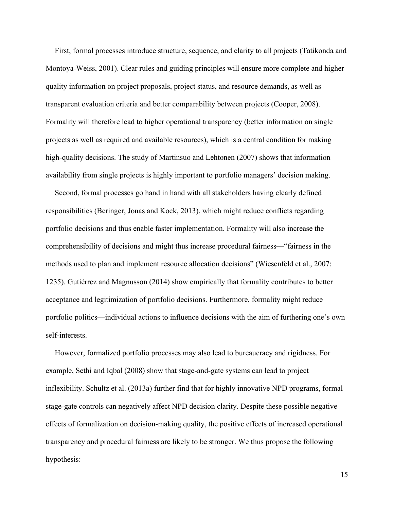First, formal processes introduce structure, sequence, and clarity to all projects (Tatikonda and Montoya-Weiss, 2001). Clear rules and guiding principles will ensure more complete and higher quality information on project proposals, project status, and resource demands, as well as transparent evaluation criteria and better comparability between projects (Cooper, 2008). Formality will therefore lead to higher operational transparency (better information on single projects as well as required and available resources), which is a central condition for making high-quality decisions. The study of Martinsuo and Lehtonen (2007) shows that information availability from single projects is highly important to portfolio managers' decision making.

Second, formal processes go hand in hand with all stakeholders having clearly defined responsibilities (Beringer, Jonas and Kock, 2013), which might reduce conflicts regarding portfolio decisions and thus enable faster implementation. Formality will also increase the comprehensibility of decisions and might thus increase procedural fairness—"fairness in the methods used to plan and implement resource allocation decisions" (Wiesenfeld et al., 2007: 1235). Gutiérrez and Magnusson (2014) show empirically that formality contributes to better acceptance and legitimization of portfolio decisions. Furthermore, formality might reduce portfolio politics—individual actions to influence decisions with the aim of furthering one's own self-interests.

However, formalized portfolio processes may also lead to bureaucracy and rigidness. For example, Sethi and Iqbal (2008) show that stage-and-gate systems can lead to project inflexibility. Schultz et al. (2013a) further find that for highly innovative NPD programs, formal stage-gate controls can negatively affect NPD decision clarity. Despite these possible negative effects of formalization on decision-making quality, the positive effects of increased operational transparency and procedural fairness are likely to be stronger. We thus propose the following hypothesis: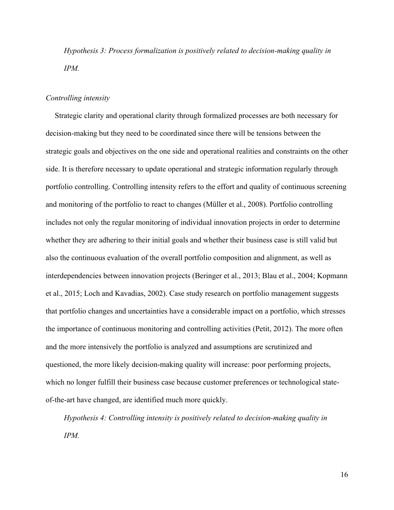*Hypothesis 3: Process formalization is positively related to decision-making quality in IPM.*

#### *Controlling intensity*

Strategic clarity and operational clarity through formalized processes are both necessary for decision-making but they need to be coordinated since there will be tensions between the strategic goals and objectives on the one side and operational realities and constraints on the other side. It is therefore necessary to update operational and strategic information regularly through portfolio controlling. Controlling intensity refers to the effort and quality of continuous screening and monitoring of the portfolio to react to changes (Müller et al., 2008). Portfolio controlling includes not only the regular monitoring of individual innovation projects in order to determine whether they are adhering to their initial goals and whether their business case is still valid but also the continuous evaluation of the overall portfolio composition and alignment, as well as interdependencies between innovation projects (Beringer et al., 2013; Blau et al., 2004; Kopmann et al., 2015; Loch and Kavadias, 2002). Case study research on portfolio management suggests that portfolio changes and uncertainties have a considerable impact on a portfolio, which stresses the importance of continuous monitoring and controlling activities (Petit, 2012). The more often and the more intensively the portfolio is analyzed and assumptions are scrutinized and questioned, the more likely decision-making quality will increase: poor performing projects, which no longer fulfill their business case because customer preferences or technological stateof-the-art have changed, are identified much more quickly.

*Hypothesis 4: Controlling intensity is positively related to decision-making quality in IPM.*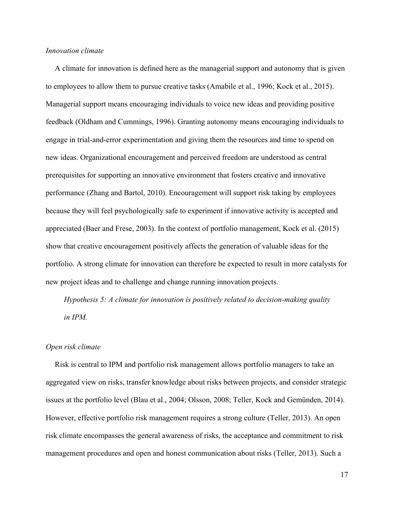#### *Innovation climate*

A climate for innovation is defined here as the managerial support and autonomy that is given to employees to allow them to pursue creative tasks (Amabile et al., 1996; Kock et al., 2015). Managerial support means encouraging individuals to voice new ideas and providing positive feedback (Oldham and Cummings, 1996). Granting autonomy means encouraging individuals to engage in trial-and-error experimentation and giving them the resources and time to spend on new ideas. Organizational encouragement and perceived freedom are understood as central prerequisites for supporting an innovative environment that fosters creative and innovative performance (Zhang and Bartol, 2010). Encouragement will support risk taking by employees because they will feel psychologically safe to experiment if innovative activity is accepted and appreciated (Baer and Frese, 2003). In the context of portfolio management, Kock et al. (2015) show that creative encouragement positively affects the generation of valuable ideas for the portfolio. A strong climate for innovation can therefore be expected to result in more catalysts for new project ideas and to challenge and change running innovation projects.

*Hypothesis 5: A climate for innovation is positively related to decision-making quality in IPM.*

#### *Open risk climate*

Risk is central to IPM and portfolio risk management allows portfolio managers to take an aggregated view on risks, transfer knowledge about risks between projects, and consider strategic issues at the portfolio level (Blau et al., 2004; Olsson, 2008; Teller, Kock and Gemünden, 2014). However, effective portfolio risk management requires a strong culture (Teller, 2013). An open risk climate encompasses the general awareness of risks, the acceptance and commitment to risk management procedures and open and honest communication about risks (Teller, 2013). Such a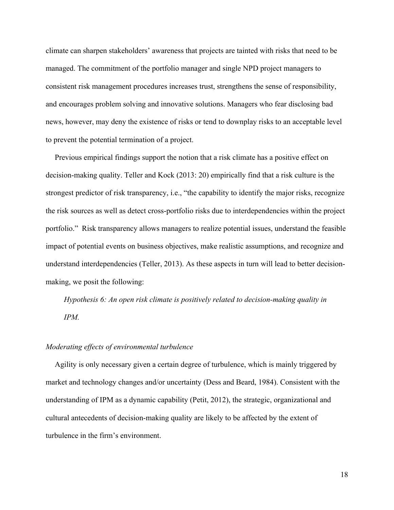climate can sharpen stakeholders' awareness that projects are tainted with risks that need to be managed. The commitment of the portfolio manager and single NPD project managers to consistent risk management procedures increases trust, strengthens the sense of responsibility, and encourages problem solving and innovative solutions. Managers who fear disclosing bad news, however, may deny the existence of risks or tend to downplay risks to an acceptable level to prevent the potential termination of a project.

Previous empirical findings support the notion that a risk climate has a positive effect on decision-making quality. Teller and Kock (2013: 20) empirically find that a risk culture is the strongest predictor of risk transparency, i.e., "the capability to identify the major risks, recognize the risk sources as well as detect cross-portfolio risks due to interdependencies within the project portfolio." Risk transparency allows managers to realize potential issues, understand the feasible impact of potential events on business objectives, make realistic assumptions, and recognize and understand interdependencies (Teller, 2013). As these aspects in turn will lead to better decisionmaking, we posit the following:

*Hypothesis 6: An open risk climate is positively related to decision-making quality in IPM.*

#### *Moderating effects of environmental turbulence*

Agility is only necessary given a certain degree of turbulence, which is mainly triggered by market and technology changes and/or uncertainty (Dess and Beard, 1984). Consistent with the understanding of IPM as a dynamic capability (Petit, 2012), the strategic, organizational and cultural antecedents of decision-making quality are likely to be affected by the extent of turbulence in the firm's environment.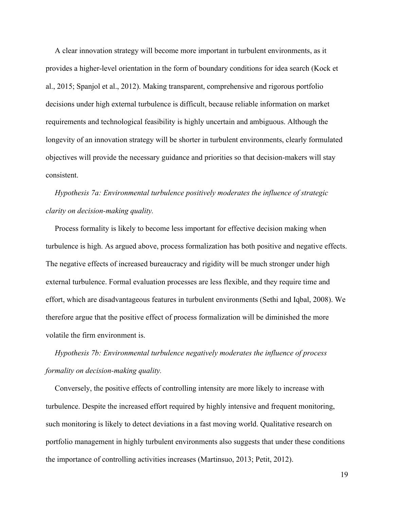A clear innovation strategy will become more important in turbulent environments, as it provides a higher-level orientation in the form of boundary conditions for idea search (Kock et al., 2015; Spanjol et al., 2012). Making transparent, comprehensive and rigorous portfolio decisions under high external turbulence is difficult, because reliable information on market requirements and technological feasibility is highly uncertain and ambiguous. Although the longevity of an innovation strategy will be shorter in turbulent environments, clearly formulated objectives will provide the necessary guidance and priorities so that decision-makers will stay consistent.

*Hypothesis 7a: Environmental turbulence positively moderates the influence of strategic clarity on decision-making quality.*

Process formality is likely to become less important for effective decision making when turbulence is high. As argued above, process formalization has both positive and negative effects. The negative effects of increased bureaucracy and rigidity will be much stronger under high external turbulence. Formal evaluation processes are less flexible, and they require time and effort, which are disadvantageous features in turbulent environments (Sethi and Iqbal, 2008). We therefore argue that the positive effect of process formalization will be diminished the more volatile the firm environment is.

*Hypothesis 7b: Environmental turbulence negatively moderates the influence of process formality on decision-making quality.*

Conversely, the positive effects of controlling intensity are more likely to increase with turbulence. Despite the increased effort required by highly intensive and frequent monitoring, such monitoring is likely to detect deviations in a fast moving world. Qualitative research on portfolio management in highly turbulent environments also suggests that under these conditions the importance of controlling activities increases (Martinsuo, 2013; Petit, 2012).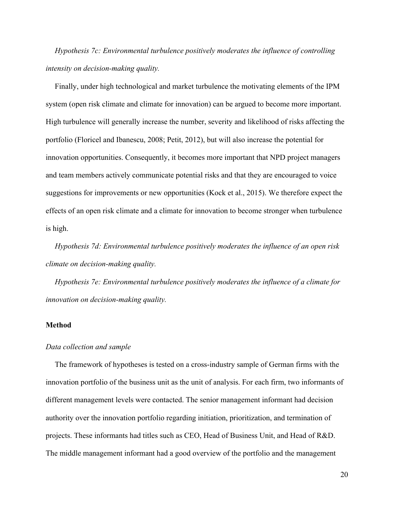*Hypothesis 7c: Environmental turbulence positively moderates the influence of controlling intensity on decision-making quality.*

Finally, under high technological and market turbulence the motivating elements of the IPM system (open risk climate and climate for innovation) can be argued to become more important. High turbulence will generally increase the number, severity and likelihood of risks affecting the portfolio (Floricel and Ibanescu, 2008; Petit, 2012), but will also increase the potential for innovation opportunities. Consequently, it becomes more important that NPD project managers and team members actively communicate potential risks and that they are encouraged to voice suggestions for improvements or new opportunities (Kock et al., 2015). We therefore expect the effects of an open risk climate and a climate for innovation to become stronger when turbulence is high.

*Hypothesis 7d: Environmental turbulence positively moderates the influence of an open risk climate on decision-making quality.*

*Hypothesis 7e: Environmental turbulence positively moderates the influence of a climate for innovation on decision-making quality.*

#### **Method**

#### *Data collection and sample*

The framework of hypotheses is tested on a cross-industry sample of German firms with the innovation portfolio of the business unit as the unit of analysis. For each firm, two informants of different management levels were contacted. The senior management informant had decision authority over the innovation portfolio regarding initiation, prioritization, and termination of projects. These informants had titles such as CEO, Head of Business Unit, and Head of R&D. The middle management informant had a good overview of the portfolio and the management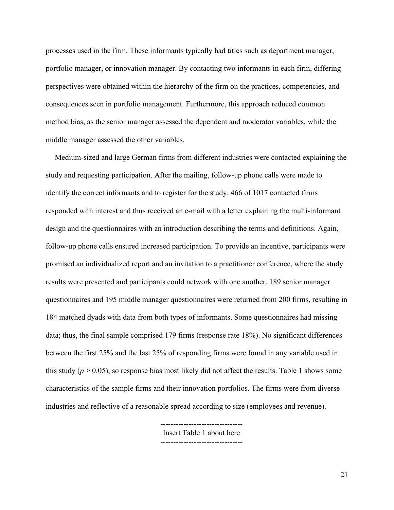processes used in the firm. These informants typically had titles such as department manager, portfolio manager, or innovation manager. By contacting two informants in each firm, differing perspectives were obtained within the hierarchy of the firm on the practices, competencies, and consequences seen in portfolio management. Furthermore, this approach reduced common method bias, as the senior manager assessed the dependent and moderator variables, while the middle manager assessed the other variables.

Medium-sized and large German firms from different industries were contacted explaining the study and requesting participation. After the mailing, follow-up phone calls were made to identify the correct informants and to register for the study. 466 of 1017 contacted firms responded with interest and thus received an e-mail with a letter explaining the multi-informant design and the questionnaires with an introduction describing the terms and definitions. Again, follow-up phone calls ensured increased participation. To provide an incentive, participants were promised an individualized report and an invitation to a practitioner conference, where the study results were presented and participants could network with one another. 189 senior manager questionnaires and 195 middle manager questionnaires were returned from 200 firms, resulting in 184 matched dyads with data from both types of informants. Some questionnaires had missing data; thus, the final sample comprised 179 firms (response rate 18%). No significant differences between the first 25% and the last 25% of responding firms were found in any variable used in this study ( $p > 0.05$ ), so response bias most likely did not affect the results. Table 1 shows some characteristics of the sample firms and their innovation portfolios. The firms were from diverse industries and reflective of a reasonable spread according to size (employees and revenue).

> Insert Table 1 about here --------------------------------

--------------------------------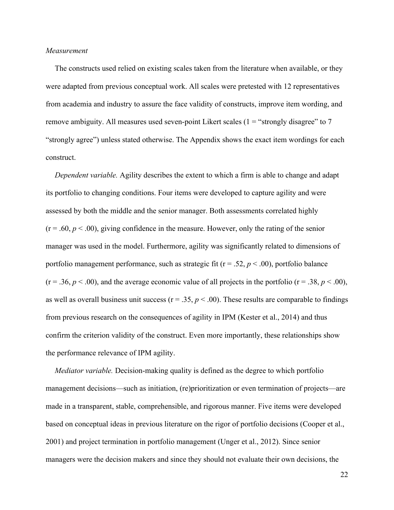#### *Measurement*

The constructs used relied on existing scales taken from the literature when available, or they were adapted from previous conceptual work. All scales were pretested with 12 representatives from academia and industry to assure the face validity of constructs, improve item wording, and remove ambiguity. All measures used seven-point Likert scales  $(1 = "strongly disagree" to 7$ "strongly agree") unless stated otherwise. The Appendix shows the exact item wordings for each construct.

*Dependent variable.* Agility describes the extent to which a firm is able to change and adapt its portfolio to changing conditions. Four items were developed to capture agility and were assessed by both the middle and the senior manager. Both assessments correlated highly  $(r = .60, p < .00)$ , giving confidence in the measure. However, only the rating of the senior manager was used in the model. Furthermore, agility was significantly related to dimensions of portfolio management performance, such as strategic fit ( $r = .52$ ,  $p < .00$ ), portfolio balance  $(r = .36, p < .00)$ , and the average economic value of all projects in the portfolio  $(r = .38, p < .00)$ , as well as overall business unit success ( $r = .35$ ,  $p < .00$ ). These results are comparable to findings from previous research on the consequences of agility in IPM (Kester et al., 2014) and thus confirm the criterion validity of the construct. Even more importantly, these relationships show the performance relevance of IPM agility.

*Mediator variable.* Decision-making quality is defined as the degree to which portfolio management decisions—such as initiation, (re)prioritization or even termination of projects—are made in a transparent, stable, comprehensible, and rigorous manner. Five items were developed based on conceptual ideas in previous literature on the rigor of portfolio decisions (Cooper et al., 2001) and project termination in portfolio management (Unger et al., 2012). Since senior managers were the decision makers and since they should not evaluate their own decisions, the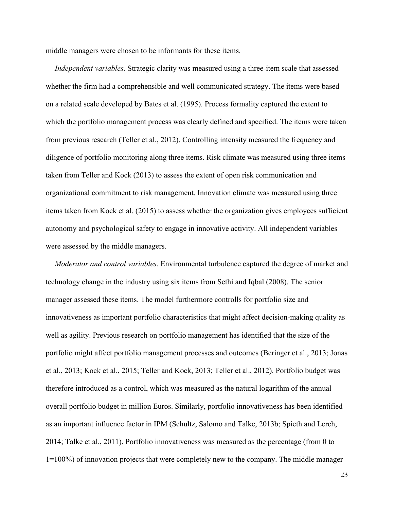middle managers were chosen to be informants for these items.

*Independent variables.* Strategic clarity was measured using a three-item scale that assessed whether the firm had a comprehensible and well communicated strategy. The items were based on a related scale developed by Bates et al. (1995). Process formality captured the extent to which the portfolio management process was clearly defined and specified. The items were taken from previous research (Teller et al., 2012). Controlling intensity measured the frequency and diligence of portfolio monitoring along three items. Risk climate was measured using three items taken from Teller and Kock (2013) to assess the extent of open risk communication and organizational commitment to risk management. Innovation climate was measured using three items taken from Kock et al. (2015) to assess whether the organization gives employees sufficient autonomy and psychological safety to engage in innovative activity. All independent variables were assessed by the middle managers.

*Moderator and control variables*. Environmental turbulence captured the degree of market and technology change in the industry using six items from Sethi and Iqbal (2008). The senior manager assessed these items. The model furthermore controlls for portfolio size and innovativeness as important portfolio characteristics that might affect decision-making quality as well as agility. Previous research on portfolio management has identified that the size of the portfolio might affect portfolio management processes and outcomes (Beringer et al., 2013; Jonas et al., 2013; Kock et al., 2015; Teller and Kock, 2013; Teller et al., 2012). Portfolio budget was therefore introduced as a control, which was measured as the natural logarithm of the annual overall portfolio budget in million Euros. Similarly, portfolio innovativeness has been identified as an important influence factor in IPM (Schultz, Salomo and Talke, 2013b; Spieth and Lerch, 2014; Talke et al., 2011). Portfolio innovativeness was measured as the percentage (from 0 to 1=100%) of innovation projects that were completely new to the company. The middle manager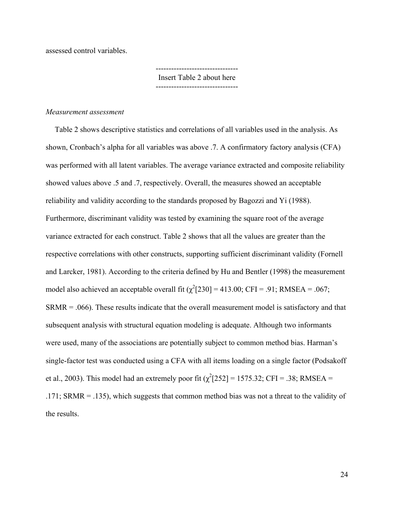assessed control variables.

-------------------------------- Insert Table 2 about here --------------------------------

#### *Measurement assessment*

Table 2 shows descriptive statistics and correlations of all variables used in the analysis. As shown, Cronbach's alpha for all variables was above .7. A confirmatory factory analysis (CFA) was performed with all latent variables. The average variance extracted and composite reliability showed values above .5 and .7, respectively. Overall, the measures showed an acceptable reliability and validity according to the standards proposed by Bagozzi and Yi (1988). Furthermore, discriminant validity was tested by examining the square root of the average variance extracted for each construct. Table 2 shows that all the values are greater than the respective correlations with other constructs, supporting sufficient discriminant validity (Fornell and Larcker, 1981). According to the criteria defined by Hu and Bentler (1998) the measurement model also achieved an acceptable overall fit  $(\chi^2[230] = 413.00; CFI = .91; RMSEA = .067;$  $SRMR = .066$ . These results indicate that the overall measurement model is satisfactory and that subsequent analysis with structural equation modeling is adequate. Although two informants were used, many of the associations are potentially subject to common method bias. Harman's single-factor test was conducted using a CFA with all items loading on a single factor (Podsakoff et al., 2003). This model had an extremely poor fit  $(\chi^2[252] = 1575.32)$ ; CFI = .38; RMSEA = .171; SRMR = .135), which suggests that common method bias was not a threat to the validity of the results.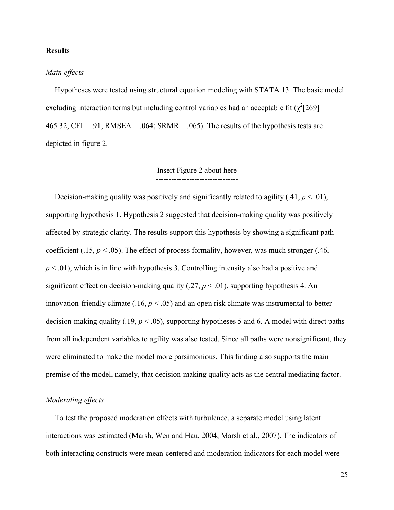#### **Results**

#### *Main effects*

Hypotheses were tested using structural equation modeling with STATA 13. The basic model excluding interaction terms but including control variables had an acceptable fit ( $\chi^2$ [269] = 465.32; CFI = .91; RMSEA = .064; SRMR = .065). The results of the hypothesis tests are depicted in figure 2.

> -------------------------------- Insert Figure 2 about here --------------------------------

Decision-making quality was positively and significantly related to agility  $(.41, p < .01)$ , supporting hypothesis 1. Hypothesis 2 suggested that decision-making quality was positively affected by strategic clarity. The results support this hypothesis by showing a significant path coefficient (.15,  $p < .05$ ). The effect of process formality, however, was much stronger (.46, *p* < .01), which is in line with hypothesis 3. Controlling intensity also had a positive and significant effect on decision-making quality  $(0.27, p \le 0.01)$ , supporting hypothesis 4. An innovation-friendly climate  $(.16, p < .05)$  and an open risk climate was instrumental to better decision-making quality  $(.19, p < .05)$ , supporting hypotheses 5 and 6. A model with direct paths from all independent variables to agility was also tested. Since all paths were nonsignificant, they were eliminated to make the model more parsimonious. This finding also supports the main premise of the model, namely, that decision-making quality acts as the central mediating factor.

#### *Moderating effects*

To test the proposed moderation effects with turbulence, a separate model using latent interactions was estimated (Marsh, Wen and Hau, 2004; Marsh et al., 2007). The indicators of both interacting constructs were mean-centered and moderation indicators for each model were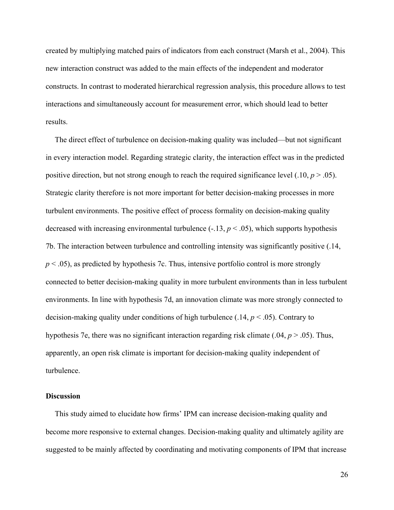created by multiplying matched pairs of indicators from each construct (Marsh et al., 2004). This new interaction construct was added to the main effects of the independent and moderator constructs. In contrast to moderated hierarchical regression analysis, this procedure allows to test interactions and simultaneously account for measurement error, which should lead to better results.

The direct effect of turbulence on decision-making quality was included—but not significant in every interaction model. Regarding strategic clarity, the interaction effect was in the predicted positive direction, but not strong enough to reach the required significance level  $(.10, p > .05)$ . Strategic clarity therefore is not more important for better decision-making processes in more turbulent environments. The positive effect of process formality on decision-making quality decreased with increasing environmental turbulence  $(-.13, p < .05)$ , which supports hypothesis 7b. The interaction between turbulence and controlling intensity was significantly positive (.14,  $p < .05$ ), as predicted by hypothesis 7c. Thus, intensive portfolio control is more strongly connected to better decision-making quality in more turbulent environments than in less turbulent environments. In line with hypothesis 7d, an innovation climate was more strongly connected to decision-making quality under conditions of high turbulence  $(.14, p < .05)$ . Contrary to hypothesis 7e, there was no significant interaction regarding risk climate (.04, *p* > .05). Thus, apparently, an open risk climate is important for decision-making quality independent of turbulence.

#### **Discussion**

This study aimed to elucidate how firms' IPM can increase decision-making quality and become more responsive to external changes. Decision-making quality and ultimately agility are suggested to be mainly affected by coordinating and motivating components of IPM that increase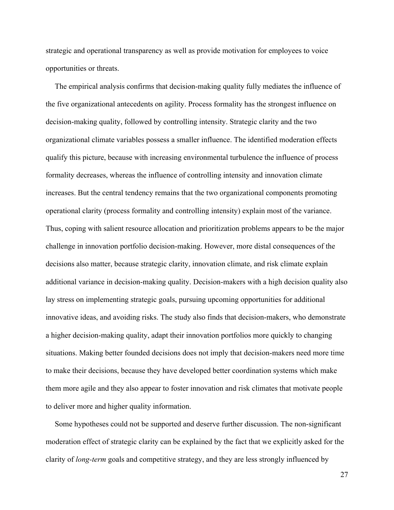strategic and operational transparency as well as provide motivation for employees to voice opportunities or threats.

The empirical analysis confirms that decision-making quality fully mediates the influence of the five organizational antecedents on agility. Process formality has the strongest influence on decision-making quality, followed by controlling intensity. Strategic clarity and the two organizational climate variables possess a smaller influence. The identified moderation effects qualify this picture, because with increasing environmental turbulence the influence of process formality decreases, whereas the influence of controlling intensity and innovation climate increases. But the central tendency remains that the two organizational components promoting operational clarity (process formality and controlling intensity) explain most of the variance. Thus, coping with salient resource allocation and prioritization problems appears to be the major challenge in innovation portfolio decision-making. However, more distal consequences of the decisions also matter, because strategic clarity, innovation climate, and risk climate explain additional variance in decision-making quality. Decision-makers with a high decision quality also lay stress on implementing strategic goals, pursuing upcoming opportunities for additional innovative ideas, and avoiding risks. The study also finds that decision-makers, who demonstrate a higher decision-making quality, adapt their innovation portfolios more quickly to changing situations. Making better founded decisions does not imply that decision-makers need more time to make their decisions, because they have developed better coordination systems which make them more agile and they also appear to foster innovation and risk climates that motivate people to deliver more and higher quality information.

Some hypotheses could not be supported and deserve further discussion. The non-significant moderation effect of strategic clarity can be explained by the fact that we explicitly asked for the clarity of *long-term* goals and competitive strategy, and they are less strongly influenced by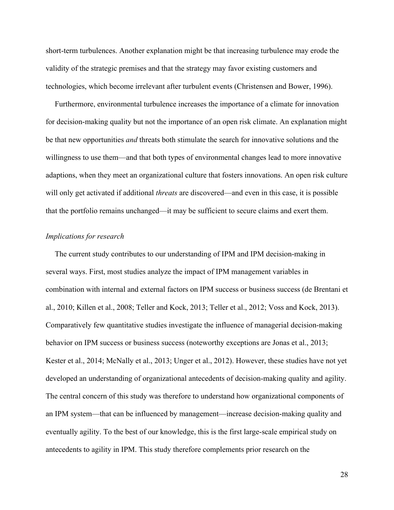short-term turbulences. Another explanation might be that increasing turbulence may erode the validity of the strategic premises and that the strategy may favor existing customers and technologies, which become irrelevant after turbulent events (Christensen and Bower, 1996).

Furthermore, environmental turbulence increases the importance of a climate for innovation for decision-making quality but not the importance of an open risk climate. An explanation might be that new opportunities *and* threats both stimulate the search for innovative solutions and the willingness to use them—and that both types of environmental changes lead to more innovative adaptions, when they meet an organizational culture that fosters innovations. An open risk culture will only get activated if additional *threats* are discovered—and even in this case, it is possible that the portfolio remains unchanged—it may be sufficient to secure claims and exert them.

#### *Implications for research*

The current study contributes to our understanding of IPM and IPM decision-making in several ways. First, most studies analyze the impact of IPM management variables in combination with internal and external factors on IPM success or business success (de Brentani et al., 2010; Killen et al., 2008; Teller and Kock, 2013; Teller et al., 2012; Voss and Kock, 2013). Comparatively few quantitative studies investigate the influence of managerial decision-making behavior on IPM success or business success (noteworthy exceptions are Jonas et al., 2013; Kester et al., 2014; McNally et al., 2013; Unger et al., 2012). However, these studies have not yet developed an understanding of organizational antecedents of decision-making quality and agility. The central concern of this study was therefore to understand how organizational components of an IPM system—that can be influenced by management—increase decision-making quality and eventually agility. To the best of our knowledge, this is the first large-scale empirical study on antecedents to agility in IPM. This study therefore complements prior research on the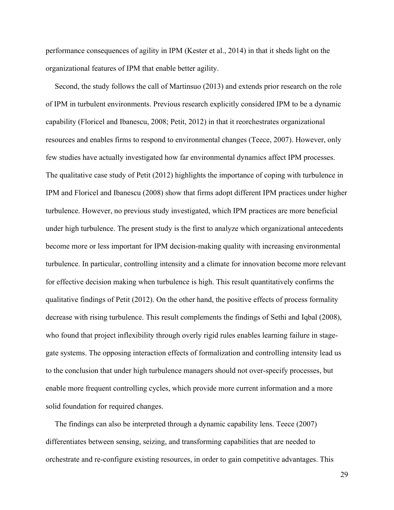performance consequences of agility in IPM (Kester et al., 2014) in that it sheds light on the organizational features of IPM that enable better agility.

Second, the study follows the call of Martinsuo (2013) and extends prior research on the role of IPM in turbulent environments. Previous research explicitly considered IPM to be a dynamic capability (Floricel and Ibanescu, 2008; Petit, 2012) in that it reorchestrates organizational resources and enables firms to respond to environmental changes (Teece, 2007). However, only few studies have actually investigated how far environmental dynamics affect IPM processes. The qualitative case study of Petit (2012) highlights the importance of coping with turbulence in IPM and Floricel and Ibanescu (2008) show that firms adopt different IPM practices under higher turbulence. However, no previous study investigated, which IPM practices are more beneficial under high turbulence. The present study is the first to analyze which organizational antecedents become more or less important for IPM decision-making quality with increasing environmental turbulence. In particular, controlling intensity and a climate for innovation become more relevant for effective decision making when turbulence is high. This result quantitatively confirms the qualitative findings of Petit (2012). On the other hand, the positive effects of process formality decrease with rising turbulence. This result complements the findings of Sethi and Iqbal (2008), who found that project inflexibility through overly rigid rules enables learning failure in stagegate systems. The opposing interaction effects of formalization and controlling intensity lead us to the conclusion that under high turbulence managers should not over-specify processes, but enable more frequent controlling cycles, which provide more current information and a more solid foundation for required changes.

The findings can also be interpreted through a dynamic capability lens. Teece (2007) differentiates between sensing, seizing, and transforming capabilities that are needed to orchestrate and re-configure existing resources, in order to gain competitive advantages. This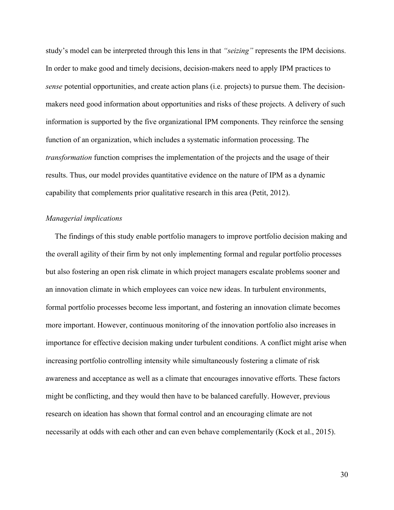study's model can be interpreted through this lens in that *"seizing"* represents the IPM decisions. In order to make good and timely decisions, decision-makers need to apply IPM practices to *sense* potential opportunities, and create action plans (i.e. projects) to pursue them. The decisionmakers need good information about opportunities and risks of these projects. A delivery of such information is supported by the five organizational IPM components. They reinforce the sensing function of an organization, which includes a systematic information processing. The *transformation* function comprises the implementation of the projects and the usage of their results. Thus, our model provides quantitative evidence on the nature of IPM as a dynamic capability that complements prior qualitative research in this area (Petit, 2012).

#### *Managerial implications*

The findings of this study enable portfolio managers to improve portfolio decision making and the overall agility of their firm by not only implementing formal and regular portfolio processes but also fostering an open risk climate in which project managers escalate problems sooner and an innovation climate in which employees can voice new ideas. In turbulent environments, formal portfolio processes become less important, and fostering an innovation climate becomes more important. However, continuous monitoring of the innovation portfolio also increases in importance for effective decision making under turbulent conditions. A conflict might arise when increasing portfolio controlling intensity while simultaneously fostering a climate of risk awareness and acceptance as well as a climate that encourages innovative efforts. These factors might be conflicting, and they would then have to be balanced carefully. However, previous research on ideation has shown that formal control and an encouraging climate are not necessarily at odds with each other and can even behave complementarily (Kock et al., 2015).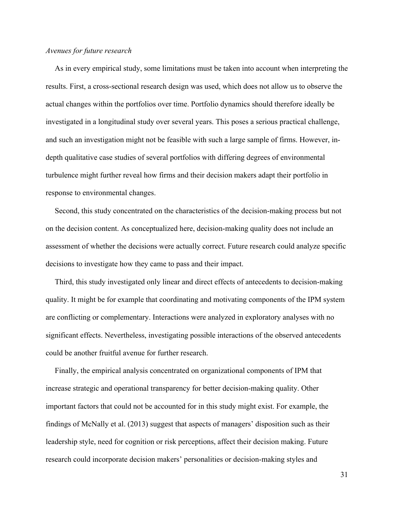#### *Avenues for future research*

As in every empirical study, some limitations must be taken into account when interpreting the results. First, a cross-sectional research design was used, which does not allow us to observe the actual changes within the portfolios over time. Portfolio dynamics should therefore ideally be investigated in a longitudinal study over several years. This poses a serious practical challenge, and such an investigation might not be feasible with such a large sample of firms. However, indepth qualitative case studies of several portfolios with differing degrees of environmental turbulence might further reveal how firms and their decision makers adapt their portfolio in response to environmental changes.

Second, this study concentrated on the characteristics of the decision-making process but not on the decision content. As conceptualized here, decision-making quality does not include an assessment of whether the decisions were actually correct. Future research could analyze specific decisions to investigate how they came to pass and their impact.

Third, this study investigated only linear and direct effects of antecedents to decision-making quality. It might be for example that coordinating and motivating components of the IPM system are conflicting or complementary. Interactions were analyzed in exploratory analyses with no significant effects. Nevertheless, investigating possible interactions of the observed antecedents could be another fruitful avenue for further research.

Finally, the empirical analysis concentrated on organizational components of IPM that increase strategic and operational transparency for better decision-making quality. Other important factors that could not be accounted for in this study might exist. For example, the findings of McNally et al. (2013) suggest that aspects of managers' disposition such as their leadership style, need for cognition or risk perceptions, affect their decision making. Future research could incorporate decision makers' personalities or decision-making styles and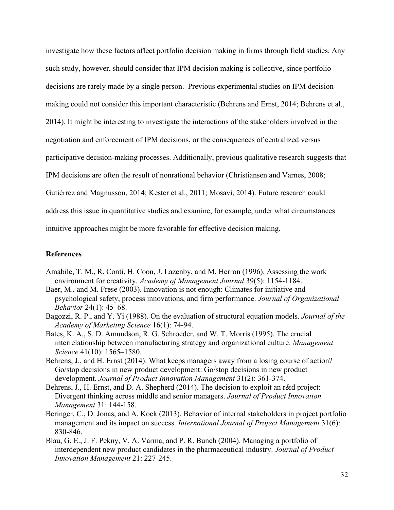investigate how these factors affect portfolio decision making in firms through field studies. Any such study, however, should consider that IPM decision making is collective, since portfolio decisions are rarely made by a single person. Previous experimental studies on IPM decision making could not consider this important characteristic (Behrens and Ernst, 2014; Behrens et al., 2014). It might be interesting to investigate the interactions of the stakeholders involved in the negotiation and enforcement of IPM decisions, or the consequences of centralized versus participative decision-making processes. Additionally, previous qualitative research suggests that IPM decisions are often the result of nonrational behavior (Christiansen and Varnes, 2008; Gutiérrez and Magnusson, 2014; Kester et al., 2011; Mosavi, 2014). Future research could address this issue in quantitative studies and examine, for example, under what circumstances intuitive approaches might be more favorable for effective decision making.

#### **References**

- Amabile, T. M., R. Conti, H. Coon, J. Lazenby, and M. Herron (1996). Assessing the work environment for creativity. *Academy of Management Journal* 39(5): 1154-1184.
- Baer, M., and M. Frese (2003). Innovation is not enough: Climates for initiative and psychological safety, process innovations, and firm performance. *Journal of Organizational Behavior* 24(1): 45–68.
- Bagozzi, R. P., and Y. Yi (1988). On the evaluation of structural equation models. *Journal of the Academy of Marketing Science* 16(1): 74-94.
- Bates, K. A., S. D. Amundson, R. G. Schroeder, and W. T. Morris (1995). The crucial interrelationship between manufacturing strategy and organizational culture. *Management Science* 41(10): 1565–1580.
- Behrens, J., and H. Ernst (2014). What keeps managers away from a losing course of action? Go/stop decisions in new product development: Go/stop decisions in new product development. *Journal of Product Innovation Management* 31(2): 361-374.
- Behrens, J., H. Ernst, and D. A. Shepherd (2014). The decision to exploit an r&d project: Divergent thinking across middle and senior managers. *Journal of Product Innovation Management* 31: 144-158.
- Beringer, C., D. Jonas, and A. Kock (2013). Behavior of internal stakeholders in project portfolio management and its impact on success. *International Journal of Project Management* 31(6): 830-846.
- Blau, G. E., J. F. Pekny, V. A. Varma, and P. R. Bunch (2004). Managing a portfolio of interdependent new product candidates in the pharmaceutical industry. *Journal of Product Innovation Management* 21: 227-245.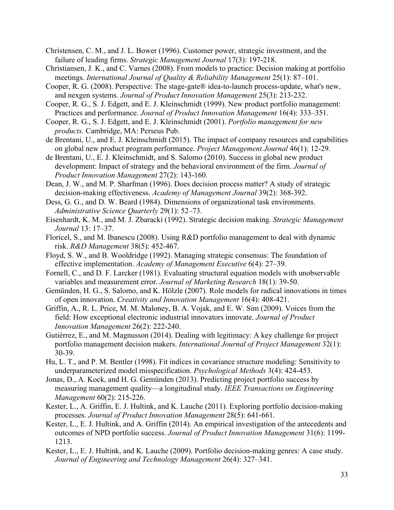- Christensen, C. M., and J. L. Bower (1996). Customer power, strategic investment, and the failure of leading firms. *Strategic Management Journal* 17(3): 197-218.
- Christiansen, J. K., and C. Varnes (2008). From models to practice: Decision making at portfolio meetings. *International Journal of Quality & Reliability Management* 25(1): 87–101.
- Cooper, R. G. (2008). Perspective: The stage-gate® idea-to-launch process-update, what's new, and nexgen systems. *Journal of Product Innovation Management* 25(3): 213-232.
- Cooper, R. G., S. J. Edgett, and E. J. Kleinschmidt (1999). New product portfolio management: Practices and performance. *Journal of Product Innovation Management* 16(4): 333–351.
- Cooper, R. G., S. J. Edgett, and E. J. Kleinschmidt (2001). *Portfolio management for new products*. Cambridge, MA: Perseus Pub.
- de Brentani, U., and E. J. Kleinschmidt (2015). The impact of company resources and capabilities on global new product program performance. *Project Management Journal* 46(1): 12-29.
- de Brentani, U., E. J. Kleinschmidt, and S. Salomo (2010). Success in global new product development: Impact of strategy and the behavioral environment of the firm. *Journal of Product Innovation Management* 27(2): 143-160.
- Dean, J. W., and M. P. Sharfman (1996). Does decision process matter? A study of strategic decision-making effectiveness. *Academy of Management Journal* 39(2): 368-392.
- Dess, G. G., and D. W. Beard (1984). Dimensions of organizational task environments. *Administrative Science Quarterly* 29(1): 52–73.
- Eisenhardt, K. M., and M. J. Zbaracki (1992). Strategic decision making. *Strategic Management Journal* 13: 17–37.
- Floricel, S., and M. Ibanescu (2008). Using R&D portfolio management to deal with dynamic risk. *R&D Management* 38(5): 452-467.
- Floyd, S. W., and B. Wooldridge (1992). Managing strategic consensus: The foundation of effective implementation. *Academy of Management Executive* 6(4): 27–39.
- Fornell, C., and D. F. Larcker (1981). Evaluating structural equation models with unobservable variables and measurement error. *Journal of Marketing Research* 18(1): 39-50.
- Gemünden, H. G., S. Salomo, and K. Hölzle (2007). Role models for radical innovations in times of open innovation. *Creativity and Innovation Management* 16(4): 408-421.
- Griffin, A., R. L. Price, M. M. Maloney, B. A. Vojak, and E. W. Sim (2009). Voices from the field: How exceptional electronic industrial innovators innovate. *Journal of Product Innovation Management* 26(2): 222-240.
- Gutiérrez, E., and M. Magnusson (2014). Dealing with legitimacy: A key challenge for project portfolio management decision makers. *International Journal of Project Management* 32(1): 30-39.
- Hu, L. T., and P. M. Bentler (1998). Fit indices in covariance structure modeling: Sensitivity to underparameterized model misspecification. *Psychological Methods* 3(4): 424-453.
- Jonas, D., A. Kock, and H. G. Gemünden (2013). Predicting project portfolio success by measuring management quality—a longitudinal study. *IEEE Transactions on Engineering Management* 60(2): 215-226.
- Kester, L., A. Griffin, E. J. Hultink, and K. Lauche (2011). Exploring portfolio decision-making processes. *Journal of Product Innovation Management* 28(5): 641-661.
- Kester, L., E. J. Hultink, and A. Griffin (2014). An empirical investigation of the antecedents and outcomes of NPD portfolio success. *Journal of Product Innovation Management* 31(6): 1199- 1213.
- Kester, L., E. J. Hultink, and K. Lauche (2009). Portfolio decision-making genres: A case study. *Journal of Engineering and Technology Management* 26(4): 327–341.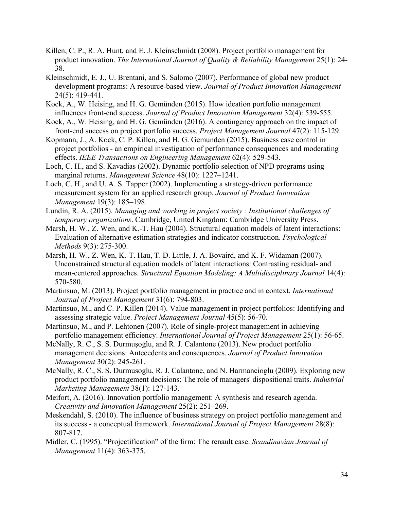- Killen, C. P., R. A. Hunt, and E. J. Kleinschmidt (2008). Project portfolio management for product innovation. *The International Journal of Quality & Reliability Management* 25(1): 24- 38.
- Kleinschmidt, E. J., U. Brentani, and S. Salomo (2007). Performance of global new product development programs: A resource-based view. *Journal of Product Innovation Management* 24(5): 419-441.
- Kock, A., W. Heising, and H. G. Gemünden (2015). How ideation portfolio management influences front-end success. *Journal of Product Innovation Management* 32(4): 539-555.
- Kock, A., W. Heising, and H. G. Gemünden (2016). A contingency approach on the impact of front-end success on project portfolio success. *Project Management Journal* 47(2): 115-129.
- Kopmann, J., A. Kock, C. P. Killen, and H. G. Gemunden (2015). Business case control in project portfolios - an empirical investigation of performance consequences and moderating effects. *IEEE Transactions on Engineering Management* 62(4): 529-543.
- Loch, C. H., and S. Kavadias (2002). Dynamic portfolio selection of NPD programs using marginal returns. *Management Science* 48(10): 1227–1241.
- Loch, C. H., and U. A. S. Tapper (2002). Implementing a strategy-driven performance measurement system for an applied research group. *Journal of Product Innovation Management* 19(3): 185–198.
- Lundin, R. A. (2015). *Managing and working in project society : Institutional challenges of temporary organizations*. Cambridge, United Kingdom: Cambridge University Press.
- Marsh, H. W., Z. Wen, and K.-T. Hau (2004). Structural equation models of latent interactions: Evaluation of alternative estimation strategies and indicator construction. *Psychological Methods* 9(3): 275-300.
- Marsh, H. W., Z. Wen, K.-T. Hau, T. D. Little, J. A. Bovaird, and K. F. Widaman (2007). Unconstrained structural equation models of latent interactions: Contrasting residual- and mean-centered approaches. *Structural Equation Modeling: A Multidisciplinary Journal* 14(4): 570-580.
- Martinsuo, M. (2013). Project portfolio management in practice and in context. *International Journal of Project Management* 31(6): 794-803.
- Martinsuo, M., and C. P. Killen (2014). Value management in project portfolios: Identifying and assessing strategic value. *Project Management Journal* 45(5): 56-70.
- Martinsuo, M., and P. Lehtonen (2007). Role of single-project management in achieving portfolio management efficiency. *International Journal of Project Management* 25(1): 56-65.
- McNally, R. C., S. S. Durmuşoğlu, and R. J. Calantone (2013). New product portfolio management decisions: Antecedents and consequences. *Journal of Product Innovation Management* 30(2): 245-261.
- McNally, R. C., S. S. Durmusoglu, R. J. Calantone, and N. Harmancioglu (2009). Exploring new product portfolio management decisions: The role of managers' dispositional traits. *Industrial Marketing Management* 38(1): 127-143.
- Meifort, A. (2016). Innovation portfolio management: A synthesis and research agenda. *Creativity and Innovation Management* 25(2): 251–269.
- Meskendahl, S. (2010). The influence of business strategy on project portfolio management and its success - a conceptual framework. *International Journal of Project Management* 28(8): 807-817.
- Midler, C. (1995). "Projectification" of the firm: The renault case. *Scandinavian Journal of Management* 11(4): 363-375.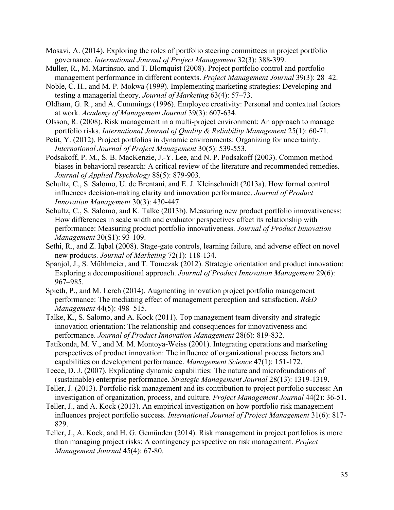Mosavi, A. (2014). Exploring the roles of portfolio steering committees in project portfolio governance. *International Journal of Project Management* 32(3): 388-399.

- Müller, R., M. Martinsuo, and T. Blomquist (2008). Project portfolio control and portfolio management performance in different contexts. *Project Management Journal* 39(3): 28–42.
- Noble, C. H., and M. P. Mokwa (1999). Implementing marketing strategies: Developing and testing a managerial theory. *Journal of Marketing* 63(4): 57–73.
- Oldham, G. R., and A. Cummings (1996). Employee creativity: Personal and contextual factors at work. *Academy of Management Journal* 39(3): 607-634.
- Olsson, R. (2008). Risk management in a multi-project environment: An approach to manage portfolio risks. *International Journal of Quality & Reliability Management* 25(1): 60-71.
- Petit, Y. (2012). Project portfolios in dynamic environments: Organizing for uncertainty. *International Journal of Project Management* 30(5): 539-553.

Podsakoff, P. M., S. B. MacKenzie, J.-Y. Lee, and N. P. Podsakoff (2003). Common method biases in behavioral research: A critical review of the literature and recommended remedies. *Journal of Applied Psychology* 88(5): 879-903.

- Schultz, C., S. Salomo, U. de Brentani, and E. J. Kleinschmidt (2013a). How formal control influences decision-making clarity and innovation performance. *Journal of Product Innovation Management* 30(3): 430-447.
- Schultz, C., S. Salomo, and K. Talke (2013b). Measuring new product portfolio innovativeness: How differences in scale width and evaluator perspectives affect its relationship with performance: Measuring product portfolio innovativeness. *Journal of Product Innovation Management* 30(S1): 93-109.
- Sethi, R., and Z. Iqbal (2008). Stage-gate controls, learning failure, and adverse effect on novel new products. *Journal of Marketing* 72(1): 118-134.
- Spanjol, J., S. Mühlmeier, and T. Tomczak (2012). Strategic orientation and product innovation: Exploring a decompositional approach. *Journal of Product Innovation Management* 29(6): 967–985.
- Spieth, P., and M. Lerch (2014). Augmenting innovation project portfolio management performance: The mediating effect of management perception and satisfaction. *R&D Management* 44(5): 498–515.
- Talke, K., S. Salomo, and A. Kock (2011). Top management team diversity and strategic innovation orientation: The relationship and consequences for innovativeness and performance. *Journal of Product Innovation Management* 28(6): 819-832.
- Tatikonda, M. V., and M. M. Montoya-Weiss (2001). Integrating operations and marketing perspectives of product innovation: The influence of organizational process factors and capabilities on development performance. *Management Science* 47(1): 151-172.
- Teece, D. J. (2007). Explicating dynamic capabilities: The nature and microfoundations of (sustainable) enterprise performance. *Strategic Management Journal* 28(13): 1319-1319.
- Teller, J. (2013). Portfolio risk management and its contribution to project portfolio success: An investigation of organization, process, and culture. *Project Management Journal* 44(2): 36-51.
- Teller, J., and A. Kock (2013). An empirical investigation on how portfolio risk management influences project portfolio success. *International Journal of Project Management* 31(6): 817- 829.
- Teller, J., A. Kock, and H. G. Gemünden (2014). Risk management in project portfolios is more than managing project risks: A contingency perspective on risk management. *Project Management Journal* 45(4): 67-80.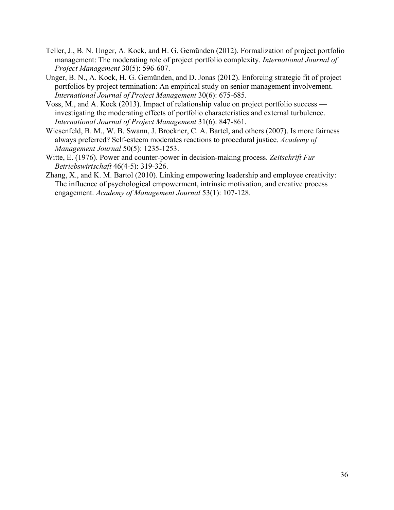- Teller, J., B. N. Unger, A. Kock, and H. G. Gemünden (2012). Formalization of project portfolio management: The moderating role of project portfolio complexity. *International Journal of Project Management* 30(5): 596-607.
- Unger, B. N., A. Kock, H. G. Gemünden, and D. Jonas (2012). Enforcing strategic fit of project portfolios by project termination: An empirical study on senior management involvement. *International Journal of Project Management* 30(6): 675-685.
- Voss, M., and A. Kock (2013). Impact of relationship value on project portfolio success investigating the moderating effects of portfolio characteristics and external turbulence. *International Journal of Project Management* 31(6): 847-861.
- Wiesenfeld, B. M., W. B. Swann, J. Brockner, C. A. Bartel, and others (2007). Is more fairness always preferred? Self-esteem moderates reactions to procedural justice. *Academy of Management Journal* 50(5): 1235-1253.
- Witte, E. (1976). Power and counter-power in decision-making process. *Zeitschrift Fur Betriebswirtschaft* 46(4-5): 319-326.
- Zhang, X., and K. M. Bartol (2010). Linking empowering leadership and employee creativity: The influence of psychological empowerment, intrinsic motivation, and creative process engagement. *Academy of Management Journal* 53(1): 107-128.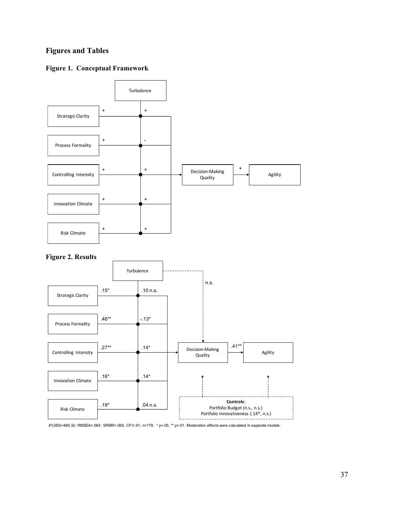### **Figures and Tables**

### **Figure 1. Conceptual Framework**



*X*2(269)=465.32; RMSEA=.064; SRMR=.065; CFI=.91; n=179; \* p<.05; \*\* p<.01. Moderation effects were calculated in separate models.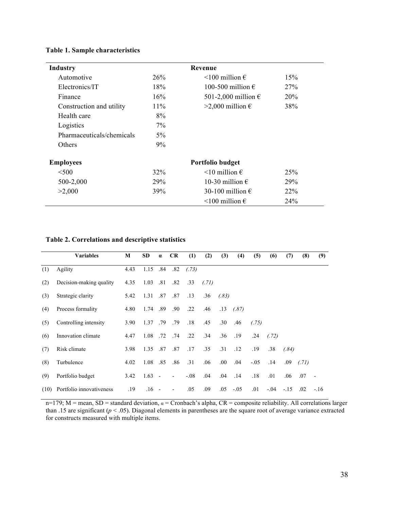| <b>Industry</b>           |        |                               |                 |  |  |
|---------------------------|--------|-------------------------------|-----------------|--|--|
| Automotive                | 26%    | $\leq 100$ million $\epsilon$ | 15%             |  |  |
| Electronics/IT            | 18%    | 100-500 million $\epsilon$    | 27%             |  |  |
| Finance                   | 16%    | 501-2,000 million $\epsilon$  | 20%             |  |  |
| Construction and utility  | $11\%$ | >2,000 million €              | 38%             |  |  |
| Health care               | 8%     |                               |                 |  |  |
| Logistics                 | $7\%$  |                               |                 |  |  |
| Pharmaceuticals/chemicals | $5\%$  |                               |                 |  |  |
| Others                    | 9%     |                               |                 |  |  |
| <b>Employees</b>          |        | Portfolio budget              |                 |  |  |
| $500$                     | 32%    | $\leq 10$ million $\epsilon$  | 25 <sup>%</sup> |  |  |
| 500-2,000                 | 29%    | 10-30 million $\epsilon$      | 29%             |  |  |
| >2,000                    | 39%    | 30-100 million $\epsilon$     | 22%             |  |  |
|                           |        | $\leq 100$ million $\epsilon$ | 24%             |  |  |

### **Table 2. Correlations and descriptive statistics**

|     | <b>Variables</b>              | M    | SD       | $\alpha$ | <b>CR</b>                | (1)           | (2)   | (3)   | (4)    | (5)    | (6)    | (7)    | (8)   | (9)    |
|-----|-------------------------------|------|----------|----------|--------------------------|---------------|-------|-------|--------|--------|--------|--------|-------|--------|
| (1) | Agility                       | 4.43 | 1.15 .84 |          |                          | $.82$ $(.73)$ |       |       |        |        |        |        |       |        |
| (2) | Decision-making quality       | 4.35 | 1.03     | .81      | .82                      | .33           | (.71) |       |        |        |        |        |       |        |
| (3) | Strategic clarity             | 5.42 | 1.31 .87 |          | .87                      | .13           | .36   | (.83) |        |        |        |        |       |        |
| (4) | Process formality             | 4.80 | 1.74     | .89      | .90                      | .22           | .46   | .13   | (.87)  |        |        |        |       |        |
| (5) | Controlling intensity         | 3.90 | 1.37 .79 |          | .79                      | .18           | .45   | .30   | .46    | (.75)  |        |        |       |        |
| (6) | Innovation climate            | 4.47 | 1.08     | .72      | .74                      | .22           | .34   | .36   | .19    | .24    | (.72)  |        |       |        |
| (7) | Risk climate                  | 3.98 | 1.35     | .87      | .87                      | .17           | .35   | .31   | .12    | .19    | .38    | (.84)  |       |        |
| (8) | Turbulence                    | 4.02 | 1.08     | .85      | .86                      | .31           | .06   | .00.  | .04    | $-.05$ | .14    | .09    | (.71) |        |
| (9) | Portfolio budget              | 3.42 | $1.63 -$ |          | $\overline{\phantom{a}}$ | $-.08$        | .04   | .04   | .14    | .18    | .01    | .06    | .07   |        |
|     | (10) Portfolio innovativeness | .19  | $.16 -$  |          | $\overline{\phantom{a}}$ | .05           | .09   | .05   | $-.05$ | .01    | $-.04$ | $-.15$ | .02   | $-.16$ |

 $n=179$ ; M = mean, SD = standard deviation,  $\alpha$  = Cronbach's alpha, CR = composite reliability. All correlations larger than .15 are significant ( $p < .05$ ). Diagonal elements in parentheses are the square root of average variance extracted for constructs measured with multiple items.